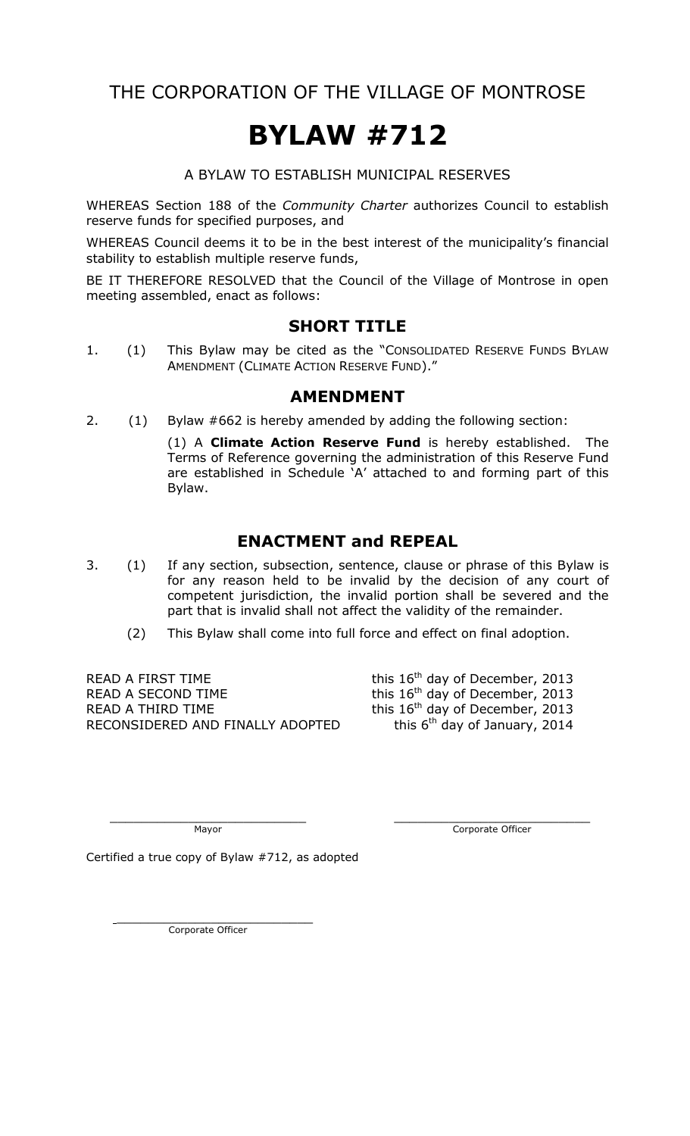THE CORPORATION OF THE VILLAGE OF MONTROSE

# **BYLAW #712**

#### A BYLAW TO ESTABLISH MUNICIPAL RESERVES

WHEREAS Section 188 of the *Community Charter* authorizes Council to establish reserve funds for specified purposes, and

WHEREAS Council deems it to be in the best interest of the municipality's financial stability to establish multiple reserve funds,

BE IT THEREFORE RESOLVED that the Council of the Village of Montrose in open meeting assembled, enact as follows:

#### **SHORT TITLE**

1. (1) This Bylaw may be cited as the "CONSOLIDATED RESERVE FUNDS BYLAW AMENDMENT (CLIMATE ACTION RESERVE FUND)."

#### **AMENDMENT**

2. (1) Bylaw #662 is hereby amended by adding the following section:

(1) A **Climate Action Reserve Fund** is hereby established. The Terms of Reference governing the administration of this Reserve Fund are established in Schedule 'A' attached to and forming part of this Bylaw.

## **ENACTMENT and REPEAL**

- 3. (1) If any section, subsection, sentence, clause or phrase of this Bylaw is for any reason held to be invalid by the decision of any court of competent jurisdiction, the invalid portion shall be severed and the part that is invalid shall not affect the validity of the remainder.
	- (2) This Bylaw shall come into full force and effect on final adoption.

READ A FIRST TIME this  $16<sup>th</sup>$  day of December, 2013 READ A SECOND TIME  $\qquad \qquad$  this 16<sup>th</sup> day of December, 2013 READ A THIRD TIME  $\qquad \qquad$  this  $16^{th}$  day of December, 2013 RECONSIDERED AND FINALLY ADOPTED

this  $6<sup>th</sup>$  day of January, 2014

\_\_\_\_\_\_\_\_\_\_\_\_\_\_\_\_\_\_\_\_\_\_\_\_\_ \_\_\_\_\_\_\_\_\_\_\_\_\_\_\_\_\_\_\_\_\_\_\_\_\_ Mayor Corporate Officer

Certified a true copy of Bylaw #712, as adopted

Corporate Officer

 $\overline{\phantom{a}}$  , which is the set of the set of the set of the set of the set of the set of the set of the set of the set of the set of the set of the set of the set of the set of the set of the set of the set of the set of